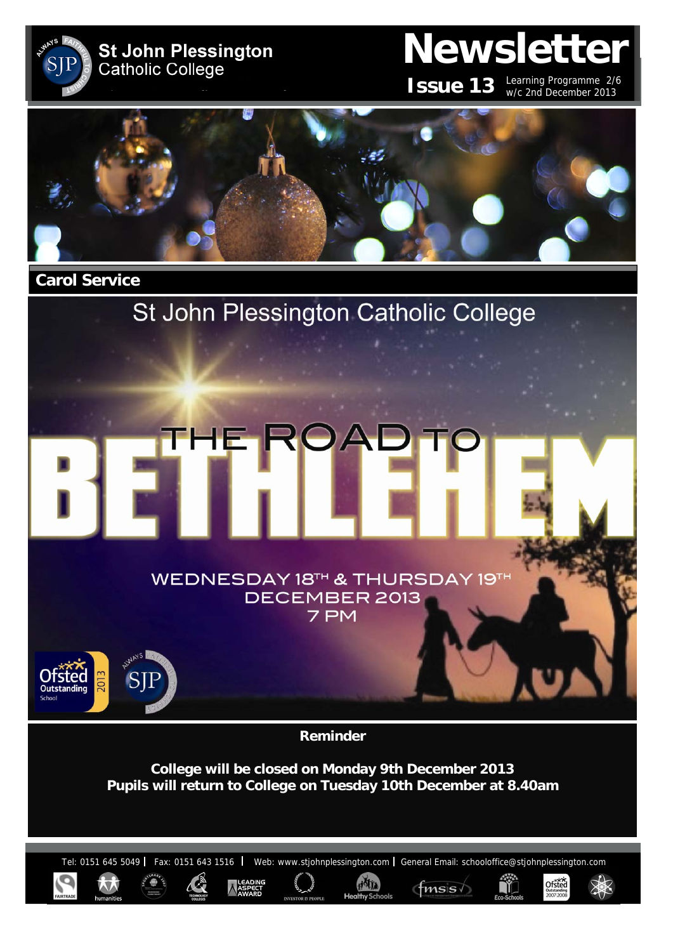

FI H

# **Newsletter**

**ISSUE 13** Learning Programme 2/6 w/c 2nd December 2013

Ofsted



 **Carol Service** 

# St John Plessington Catholic College

ROA

WEDNESDAY 18TH & THURSDAY 19T DECEMBER 2013 7 PM



**Reminder** 

**College will be closed on Monday 9th December 2013 Pupils will return to College on Tuesday 10th December at 8.40am** 

Tel: 0151 645 5049 | Fax: 0151 643 1516 | Web: www.stjohnplessington.com | General Email: schooloffice@stjohnplessington.com

HAI

 $f$ msis $\sqrt{ }$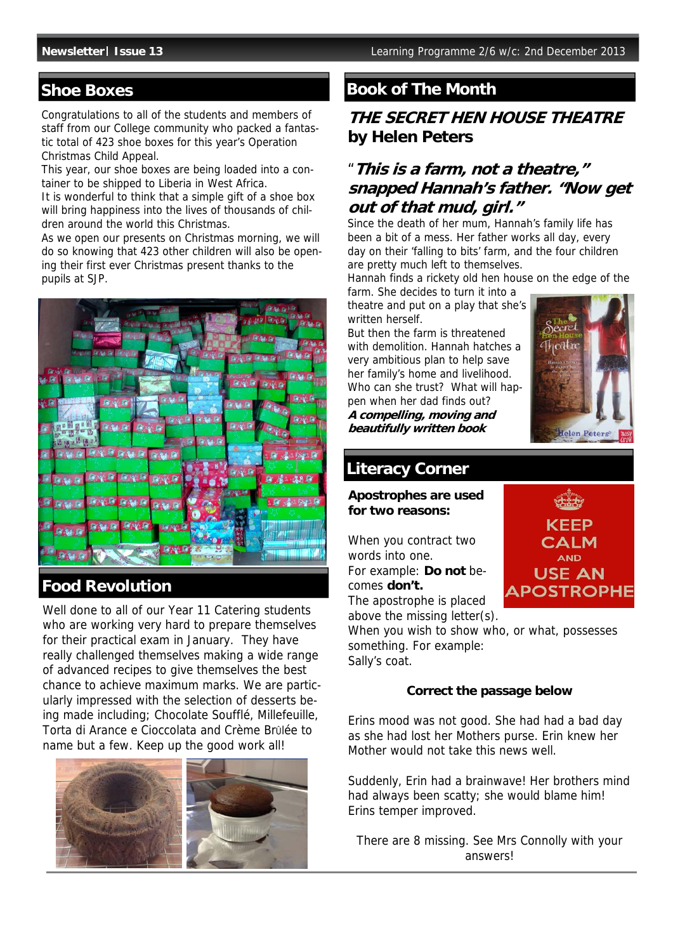#### **Shoe Boxes**

Congratulations to all of the students and members of staff from our College community who packed a fantastic total of 423 shoe boxes for this year's Operation Christmas Child Appeal.

This year, our shoe boxes are being loaded into a container to be shipped to Liberia in West Africa.

It is wonderful to think that a simple gift of a shoe box will bring happiness into the lives of thousands of children around the world this Christmas.

As we open our presents on Christmas morning, we will do so knowing that 423 other children will also be opening their first ever Christmas present thanks to the pupils at SJP.



### **Food Revolution**

Well done to all of our Year 11 Catering students who are working very hard to prepare themselves for their practical exam in January. They have really challenged themselves making a wide range of advanced recipes to give themselves the best chance to achieve maximum marks. We are particularly impressed with the selection of desserts being made including; Chocolate Soufflé, Millefeuille, Torta di Arance e Cioccolata and Crème Brûlée to name but a few. Keep up the good work all!



# **Book of The Month**

# **THE SECRET HEN HOUSE THEATRE by Helen Peters**

# "**This is a farm, not a theatre," snapped Hannah's father. "Now get out of that mud, girl."**

Since the death of her mum, Hannah's family life has been a bit of a mess. Her father works all day, every day on their 'falling to bits' farm, and the four children are pretty much left to themselves.

Hannah finds a rickety old hen house on the edge of the farm. She decides to turn it into a

theatre and put on a play that she's written herself.

But then the farm is threatened with demolition. Hannah hatches a very ambitious plan to help save her family's home and livelihood. Who can she trust? What will happen when her dad finds out? **A compelling, moving and beautifully written book** 



### **Literacy Corner**

**Apostrophes are used for two reasons:** 

When you contract two words into one. For example: **Do not** becomes **don't.** 



The apostrophe is placed above the missing letter(s).

When you wish to show who, or what, possesses something. For example: Sally's coat.

#### **Correct the passage below**

Erins mood was not good. She had had a bad day as she had lost her Mothers purse. Erin knew her Mother would not take this news well.

Suddenly, Erin had a brainwave! Her brothers mind had always been scatty; she would blame him! Erins temper improved.

There are 8 missing. See Mrs Connolly with your answers!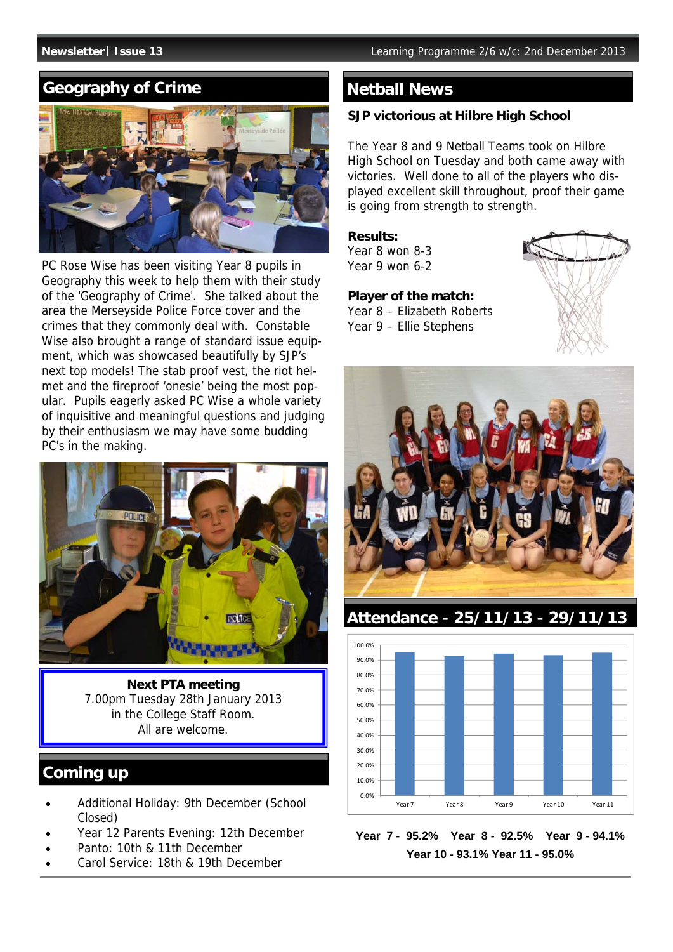# **Geography of Crime**



PC Rose Wise has been visiting Year 8 pupils in Geography this week to help them with their study of the 'Geography of Crime'. She talked about the area the Merseyside Police Force cover and the crimes that they commonly deal with. Constable Wise also brought a range of standard issue equipment, which was showcased beautifully by SJP's next top models! The stab proof vest, the riot helmet and the fireproof 'onesie' being the most popular. Pupils eagerly asked PC Wise a whole variety of inquisitive and meaningful questions and judging by their enthusiasm we may have some budding PC's in the making.



**Next PTA meeting**  7.00pm Tuesday 28th January 2013 in the College Staff Room. All are welcome.

# **Coming up**

- Additional Holiday: 9th December (School Closed)
- Year 12 Parents Evening: 12th December
- Panto: 10th & 11th December
- Carol Service: 18th & 19th December

#### **Netball News**

#### **SJP victorious at Hilbre High School**

The Year 8 and 9 Netball Teams took on Hilbre High School on Tuesday and both came away with victories. Well done to all of the players who displayed excellent skill throughout, proof their game is going from strength to strength.

**Results:** 

Year 8 won 8-3 Year 9 won 6-2

**Player of the match:**  Year 8 – Elizabeth Roberts Year 9 – Ellie Stephens





**Attendance - 25/11/13 - 29/11/13**



**Year 7 - 95.2% Year 8 - 92.5% Year 9 - 94.1% Year 10 - 93.1% Year 11 - 95.0%**